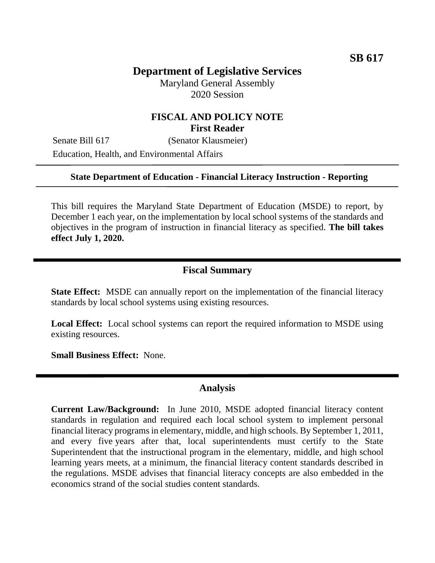# **Department of Legislative Services**

Maryland General Assembly 2020 Session

## **FISCAL AND POLICY NOTE First Reader**

Senate Bill 617 (Senator Klausmeier) Education, Health, and Environmental Affairs

#### **State Department of Education - Financial Literacy Instruction - Reporting**

This bill requires the Maryland State Department of Education (MSDE) to report, by December 1 each year, on the implementation by local school systems of the standards and objectives in the program of instruction in financial literacy as specified. **The bill takes effect July 1, 2020.**

### **Fiscal Summary**

**State Effect:** MSDE can annually report on the implementation of the financial literacy standards by local school systems using existing resources.

**Local Effect:** Local school systems can report the required information to MSDE using existing resources.

**Small Business Effect:** None.

#### **Analysis**

**Current Law/Background:** In June 2010, MSDE adopted financial literacy content standards in regulation and required each local school system to implement personal financial literacy programs in elementary, middle, and high schools. By September 1, 2011, and every five years after that, local superintendents must certify to the State Superintendent that the instructional program in the elementary, middle, and high school learning years meets, at a minimum, the financial literacy content standards described in the regulations. MSDE advises that financial literacy concepts are also embedded in the economics strand of the social studies content standards.